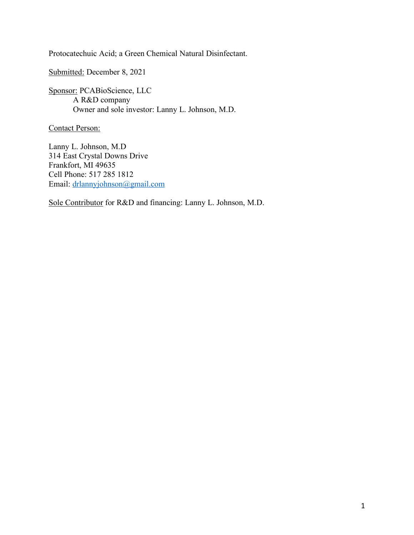Protocatechuic Acid; a Green Chemical Natural Disinfectant.

Submitted: December 8, 2021

Sponsor: PCABioScience, LLC A R&D company Owner and sole investor: Lanny L. Johnson, M.D.

Contact Person:

Lanny L. Johnson, M.D 314 East Crystal Downs Drive Frankfort, MI 49635 Cell Phone: 517 285 1812 Email: [drlannyjohnson@gmail.com](mailto:drlannyjohnson@gmail.com)

Sole Contributor for R&D and financing: Lanny L. Johnson, M.D.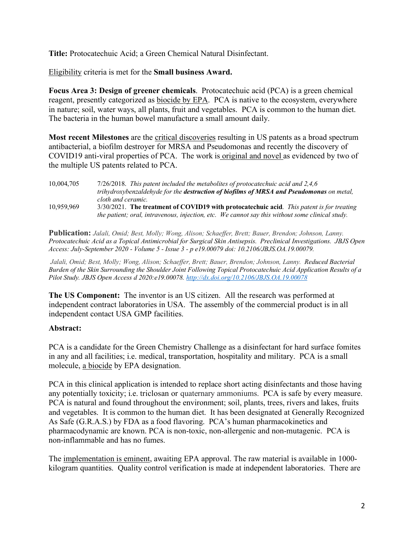**Title:** Protocatechuic Acid; a Green Chemical Natural Disinfectant.

Eligibility criteria is met for the **Small business Award.** 

**Focus Area 3: Design of greener chemicals**. Protocatechuic acid (PCA) is a green chemical reagent, presently categorized as **biocide by EPA**. PCA is native to the ecosystem, everywhere in nature; soil, water ways, all plants, fruit and vegetables. PCA is common to the human diet. The bacteria in the human bowel manufacture a small amount daily.

**Most recent Milestones** are the critical discoveries resulting in US patents as a broad spectrum antibacterial, a biofilm destroyer for MRSA and Pseudomonas and recently the discovery of COVID19 anti-viral properties of PCA. The work is original and novel as evidenced by two of the multiple US patents related to PCA.

10,004,705 7/26/2018. *This patent included the metabolites of protocatechuic acid and 2,4,6 trihydroxybenzaldehyde for the destruction of biofilms of MRSA and Pseudomonas on metal, cloth and ceramic.* 10,959,969 3/30/2021. **The treatment of COVID19 with protocatechuic acid**. *This patent is for treating the patient; oral, intravenous, injection, etc. We cannot say this without some clinical study.* 

**Publication:** *Jalali, Omid; Best, Molly; Wong, Alison; Schaeffer, Brett; Bauer, Brendon; Johnson, Lanny. Protocatechuic Acid as a Topical Antimicrobial for Surgical Skin Antisepsis. Preclinical Investigations. JBJS Open Access: July-September 2020 - Volume 5 - Issue 3 - p e19.00079 doi: 10.2106/JBJS.OA.19.00079.*

*Jalali, Omid; Best, Molly; Wong, Alison; Schaeffer, Brett; Bauer, Brendon; Johnson, Lanny. Reduced Bacterial Burden of the Skin Surrounding the Shoulder Joint Following Topical Protocatechuic Acid Application Results of a Pilot Study. JBJS Open Access d 2020:e19.00078.<http://dx.doi.org/10.2106/JBJS.OA.19.00078>*

**The US Component:** The inventor is an US citizen. All the research was performed at independent contract laboratories in USA. The assembly of the commercial product is in all independent contact USA GMP facilities.

## **Abstract:**

PCA is a candidate for the Green Chemistry Challenge as a disinfectant for hard surface fomites in any and all facilities; i.e. medical, transportation, hospitality and military. PCA is a small molecule, a biocide by EPA designation.

PCA in this clinical application is intended to replace short acting disinfectants and those having any potentially toxicity; i.e. triclosan or quaternary ammoniums. PCA is safe by every measure. PCA is natural and found throughout the environment; soil, plants, trees, rivers and lakes, fruits and vegetables. It is common to the human diet. It has been designated at Generally Recognized As Safe (G.R.A.S.) by FDA as a food flavoring. PCA's human pharmacokinetics and pharmacodynamic are known. PCA is non-toxic, non-allergenic and non-mutagenic. PCA is non-inflammable and has no fumes.

The implementation is eminent, awaiting EPA approval. The raw material is available in 1000 kilogram quantities. Quality control verification is made at independent laboratories. There are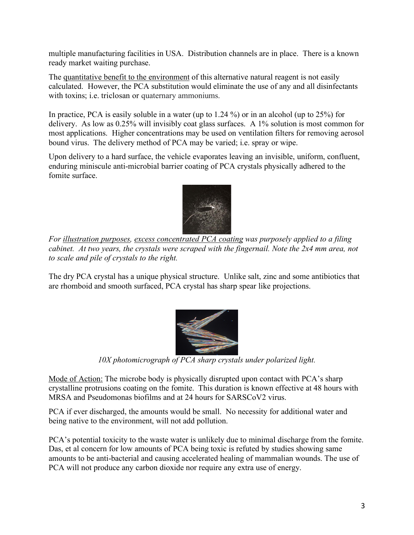multiple manufacturing facilities in USA. Distribution channels are in place. There is a known ready market waiting purchase.

The quantitative benefit to the environment of this alternative natural reagent is not easily calculated. However, the PCA substitution would eliminate the use of any and all disinfectants with toxins; *i.e.* triclosan or quaternary ammoniums.

In practice, PCA is easily soluble in a water (up to 1.24 %) or in an alcohol (up to 25%) for delivery. As low as 0.25% will invisibly coat glass surfaces. A 1% solution is most common for most applications. Higher concentrations may be used on ventilation filters for removing aerosol bound virus. The delivery method of PCA may be varied; i.e. spray or wipe.

Upon delivery to a hard surface, the vehicle evaporates leaving an invisible, uniform, confluent, enduring miniscule anti-microbial barrier coating of PCA crystals physically adhered to the fomite surface.



*For illustration purposes, excess concentrated PCA coating was purposely applied to a filing cabinet. At two years, the crystals were scraped with the fingernail. Note the 2x4 mm area, not to scale and pile of crystals to the right.*

The dry PCA crystal has a unique physical structure. Unlike salt, zinc and some antibiotics that are rhomboid and smooth surfaced, PCA crystal has sharp spear like projections.



*10X photomicrograph of PCA sharp crystals under polarized light.*

Mode of Action: The microbe body is physically disrupted upon contact with PCA's sharp crystalline protrusions coating on the fomite. This duration is known effective at 48 hours with MRSA and Pseudomonas biofilms and at 24 hours for SARSCoV2 virus.

PCA if ever discharged, the amounts would be small. No necessity for additional water and being native to the environment, will not add pollution.

PCA's potential toxicity to the waste water is unlikely due to minimal discharge from the fomite. Das, et al concern for low amounts of PCA being toxic is refuted by studies showing same amounts to be anti-bacterial and causing accelerated healing of mammalian wounds. The use of PCA will not produce any carbon dioxide nor require any extra use of energy.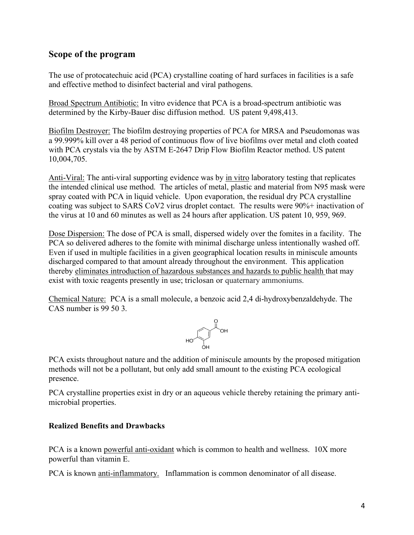## **Scope of the program**

The use of protocatechuic acid (PCA) crystalline coating of hard surfaces in facilities is a safe and effective method to disinfect bacterial and viral pathogens.

Broad Spectrum Antibiotic: In vitro evidence that PCA is a broad-spectrum antibiotic was determined by the Kirby-Bauer disc diffusion method. US patent 9,498,413.

Biofilm Destroyer: The biofilm destroying properties of PCA for MRSA and Pseudomonas was a 99.999% kill over a 48 period of continuous flow of live biofilms over metal and cloth coated with PCA crystals via the by ASTM E-2647 Drip Flow Biofilm Reactor method. US patent 10,004,705.

Anti-Viral: The anti-viral supporting evidence was by in vitro laboratory testing that replicates the intended clinical use method. The articles of metal, plastic and material from N95 mask were spray coated with PCA in liquid vehicle. Upon evaporation, the residual dry PCA crystalline coating was subject to SARS CoV2 virus droplet contact. The results were 90%+ inactivation of the virus at 10 and 60 minutes as well as 24 hours after application. US patent 10, 959, 969.

Dose Dispersion: The dose of PCA is small, dispersed widely over the fomites in a facility. The PCA so delivered adheres to the fomite with minimal discharge unless intentionally washed off. Even if used in multiple facilities in a given geographical location results in miniscule amounts discharged compared to that amount already throughout the environment. This application thereby eliminates introduction of hazardous substances and hazards to public health that may exist with toxic reagents presently in use; triclosan or quaternary ammoniums.

Chemical Nature: PCA is a small molecule, a benzoic acid 2,4 di-hydroxybenzaldehyde. The CAS number is 99 50 3.



PCA exists throughout nature and the addition of miniscule amounts by the proposed mitigation methods will not be a pollutant, but only add small amount to the existing PCA ecological presence.

PCA crystalline properties exist in dry or an aqueous vehicle thereby retaining the primary antimicrobial properties.

## **Realized Benefits and Drawbacks**

PCA is a known powerful anti-oxidant which is common to health and wellness. 10X more powerful than vitamin E.

PCA is known anti-inflammatory. Inflammation is common denominator of all disease.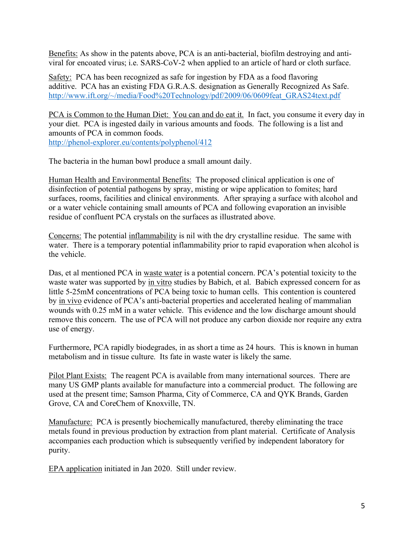Benefits: As show in the patents above, PCA is an anti-bacterial, biofilm destroying and antiviral for encoated virus; i.e. SARS-CoV-2 when applied to an article of hard or cloth surface.

Safety: PCA has been recognized as safe for ingestion by FDA as a food flavoring additive. PCA has an existing FDA G.R.A.S. designation as Generally Recognized As Safe. [http://www.ift.org/~/media/Food%20Technology/pdf/2009/06/0609feat\\_GRAS24text.pdf](http://www.ift.org/~/media/Food Technology/pdf/2009/06/0609feat_GRAS24text.pdf)

PCA is Common to the Human Diet: You can and do eat it. In fact, you consume it every day in your diet. PCA is ingested daily in various amounts and foods. The following is a list and amounts of PCA in common foods. <http://phenol-explorer.eu/contents/polyphenol/412>

The bacteria in the human bowl produce a small amount daily.

Human Health and Environmental Benefits: The proposed clinical application is one of disinfection of potential pathogens by spray, misting or wipe application to fomites; hard surfaces, rooms, facilities and clinical environments. After spraying a surface with alcohol and or a water vehicle containing small amounts of PCA and following evaporation an invisible residue of confluent PCA crystals on the surfaces as illustrated above.

Concerns: The potential inflammability is nil with the dry crystalline residue. The same with water. There is a temporary potential inflammability prior to rapid evaporation when alcohol is the vehicle.

Das, et al mentioned PCA in waste water is a potential concern. PCA's potential toxicity to the waste water was supported by in vitro studies by Babich, et al. Babich expressed concern for as little 5-25mM concentrations of PCA being toxic to human cells. This contention is countered by in vivo evidence of PCA's anti-bacterial properties and accelerated healing of mammalian wounds with 0.25 mM in a water vehicle. This evidence and the low discharge amount should remove this concern. The use of PCA will not produce any carbon dioxide nor require any extra use of energy.

Furthermore, PCA rapidly biodegrades, in as short a time as 24 hours. This is known in human metabolism and in tissue culture. Its fate in waste water is likely the same.

Pilot Plant Exists: The reagent PCA is available from many international sources. There are many US GMP plants available for manufacture into a commercial product. The following are used at the present time; Samson Pharma, City of Commerce, CA and QYK Brands, Garden Grove, CA and CoreChem of Knoxville, TN.

Manufacture: PCA is presently biochemically manufactured, thereby eliminating the trace metals found in previous production by extraction from plant material. Certificate of Analysis accompanies each production which is subsequently verified by independent laboratory for purity.

EPA application initiated in Jan 2020. Still under review.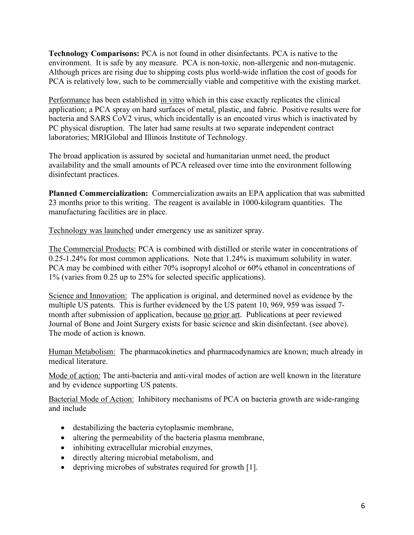**Technology Comparisons:** PCA is not found in other disinfectants. PCA is native to the environment. It is safe by any measure. PCA is non-toxic, non-allergenic and non-mutagenic. Although prices are rising due to shipping costs plus world-wide inflation the cost of goods for PCA is relatively low, such to be commercially viable and competitive with the existing market.

Performance has been established in vitro which in this case exactly replicates the clinical application; a PCA spray on hard surfaces of metal, plastic, and fabric. Positive results were for bacteria and SARS CoV2 virus, which incidentally is an encoated virus which is inactivated by PC physical disruption. The later had same results at two separate independent contract laboratories; MRIGlobal and Illinois Institute of Technology.

The broad application is assured by societal and humanitarian unmet need, the product availability and the small amounts of PCA released over time into the environment following disinfectant practices.

**Planned Commercialization:** Commercialization awaits an EPA application that was submitted 23 months prior to this writing. The reagent is available in 1000-kilogram quantities. The manufacturing facilities are in place.

Technology was launched under emergency use as sanitizer spray.

The Commercial Products: PCA is combined with distilled or sterile water in concentrations of 0.25-1.24% for most common applications. Note that 1.24% is maximum solubility in water. PCA may be combined with either 70% isopropyl alcohol or 60% ethanol in concentrations of 1% (varies from 0.25 up to 25% for selected specific applications).

Science and Innovation: The application is original, and determined novel as evidence by the multiple US patents. This is further evidenced by the US patent 10, 969, 959 was issued 7 month after submission of application, because no prior art. Publications at peer reviewed Journal of Bone and Joint Surgery exists for basic science and skin disinfectant. (see above). The mode of action is known.

Human Metabolism: The pharmacokinetics and pharmacodynamics are known; much already in medical literature.

Mode of action: The anti-bacteria and anti-viral modes of action are well known in the literature and by evidence supporting US patents.

Bacterial Mode of Action: Inhibitory mechanisms of PCA on bacteria growth are wide-ranging and include

- destabilizing the bacteria cytoplasmic membrane,
- altering the permeability of the bacteria plasma membrane,
- inhibiting extracellular microbial enzymes,
- directly altering microbial metabolism, and
- depriving microbes of substrates required for growth [1].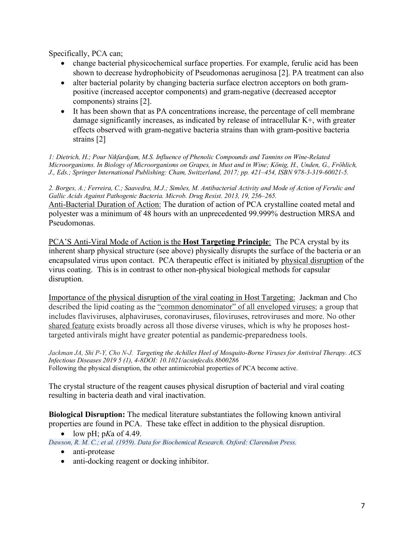Specifically, PCA can;

- change bacterial physicochemical surface properties. For example, ferulic acid has been shown to decrease hydrophobicity of Pseudomonas aeruginosa [2]. PA treatment can also
- alter bacterial polarity by changing bacteria surface electron acceptors on both grampositive (increased acceptor components) and gram-negative (decreased acceptor components) strains [2].
- It has been shown that as PA concentrations increase, the percentage of cell membrane damage significantly increases, as indicated by release of intracellular K+, with greater effects observed with gram-negative bacteria strains than with gram-positive bacteria strains [2]

*1: Dietrich, H.; Pour Nikfardjam, M.S. Influence of Phenolic Compounds and Tannins on Wine-Related Microorganisms. In Biology of Microorganisms on Grapes, in Must and in Wine; König, H., Unden, G., Fröhlich, J., Eds.; Springer International Publishing: Cham, Switzerland, 2017; pp. 421–454, ISBN 978-3-319-60021-5.* 

*2. Borges, A.; Ferreira, C.; Saavedra, M.J.; Simões, M. Antibacterial Activity and Mode of Action of Ferulic and Gallic Acids Against Pathogenic Bacteria. Microb. Drug Resist. 2013, 19, 256–265.*  Anti-Bacterial Duration of Action: The duration of action of PCA crystalline coated metal and polyester was a minimum of 48 hours with an unprecedented 99.999% destruction MRSA and Pseudomonas.

PCA'S Anti-Viral Mode of Action is the **Host Targeting Principle**:The PCA crystal by its inherent sharp physical structure (see above) physically disrupts the surface of the bacteria or an encapsulated virus upon contact. PCA therapeutic effect is initiated by physical disruption of the virus coating. This is in contrast to other non-physical biological methods for capsular disruption.

Importance of the physical disruption of the viral coating in Host Targeting: Jackman and Cho described the lipid coating as the "common denominator" of all enveloped viruses; a group that includes flaviviruses, alphaviruses, coronaviruses, filoviruses, retroviruses and more. No other shared feature exists broadly across all those diverse viruses, which is why he proposes hosttargeted antivirals might have greater potential as pandemic-preparedness tools.

*Jackman JA, Shi P-Y, Cho N-J. Targeting the Achilles Heel of Mosquito-Borne Viruses for Antiviral Therapy. ACS Infectious Diseases 2019 5 (1), 4-8DOI: 10.1021/acsinfecdis.8b00286* Following the physical disruption, the other antimicrobial properties of PCA become active.

The crystal structure of the reagent causes physical disruption of bacterial and viral coating resulting in bacteria death and viral inactivation.

**Biological Disruption:** The medical literature substantiates the following known antiviral properties are found in PCA. These take effect in addition to the physical disruption.

• low  $pH$ ;  $pKa$  of  $4.49$ .

*Dawson, R. M. C.; et al. (1959). Data for Biochemical Research. Oxford: Clarendon Press.*

- anti-protease
- anti-docking reagent or docking inhibitor.